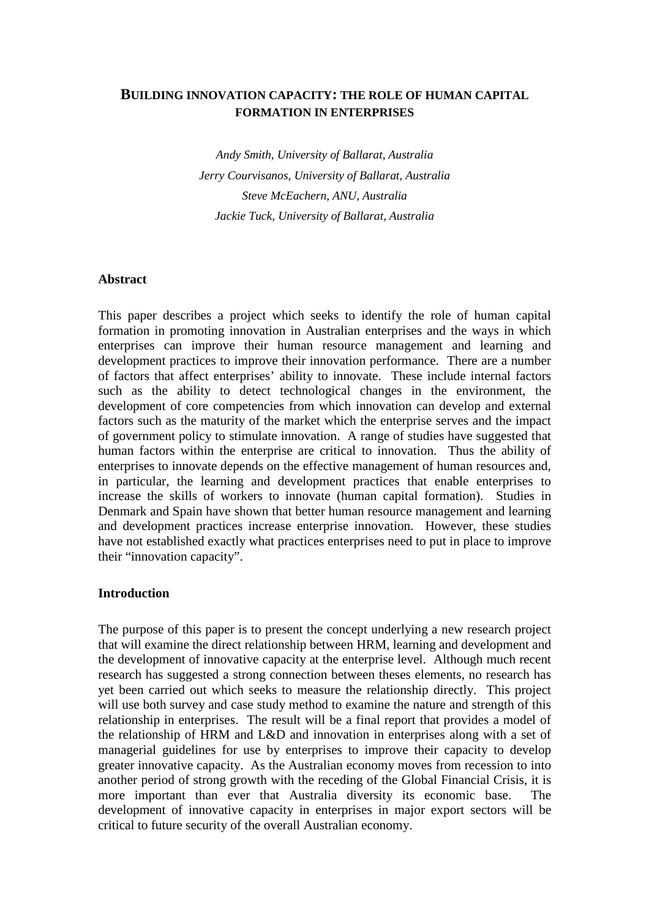# **BUILDING INNOVATION CAPACITY: THE ROLE OF HUMAN CAPITAL FORMATION IN ENTERPRISES**

*Andy Smith, University of Ballarat, Australia Jerry Courvisanos, University of Ballarat, Australia Steve McEachern, ANU, Australia Jackie Tuck, University of Ballarat, Australia* 

#### **Abstract**

This paper describes a project which seeks to identify the role of human capital formation in promoting innovation in Australian enterprises and the ways in which enterprises can improve their human resource management and learning and development practices to improve their innovation performance. There are a number of factors that affect enterprises' ability to innovate. These include internal factors such as the ability to detect technological changes in the environment, the development of core competencies from which innovation can develop and external factors such as the maturity of the market which the enterprise serves and the impact of government policy to stimulate innovation. A range of studies have suggested that human factors within the enterprise are critical to innovation. Thus the ability of enterprises to innovate depends on the effective management of human resources and, in particular, the learning and development practices that enable enterprises to increase the skills of workers to innovate (human capital formation). Studies in Denmark and Spain have shown that better human resource management and learning and development practices increase enterprise innovation. However, these studies have not established exactly what practices enterprises need to put in place to improve their "innovation capacity".

# **Introduction**

The purpose of this paper is to present the concept underlying a new research project that will examine the direct relationship between HRM, learning and development and the development of innovative capacity at the enterprise level. Although much recent research has suggested a strong connection between theses elements, no research has yet been carried out which seeks to measure the relationship directly. This project will use both survey and case study method to examine the nature and strength of this relationship in enterprises. The result will be a final report that provides a model of the relationship of HRM and L&D and innovation in enterprises along with a set of managerial guidelines for use by enterprises to improve their capacity to develop greater innovative capacity. As the Australian economy moves from recession to into another period of strong growth with the receding of the Global Financial Crisis, it is more important than ever that Australia diversity its economic base. The development of innovative capacity in enterprises in major export sectors will be critical to future security of the overall Australian economy.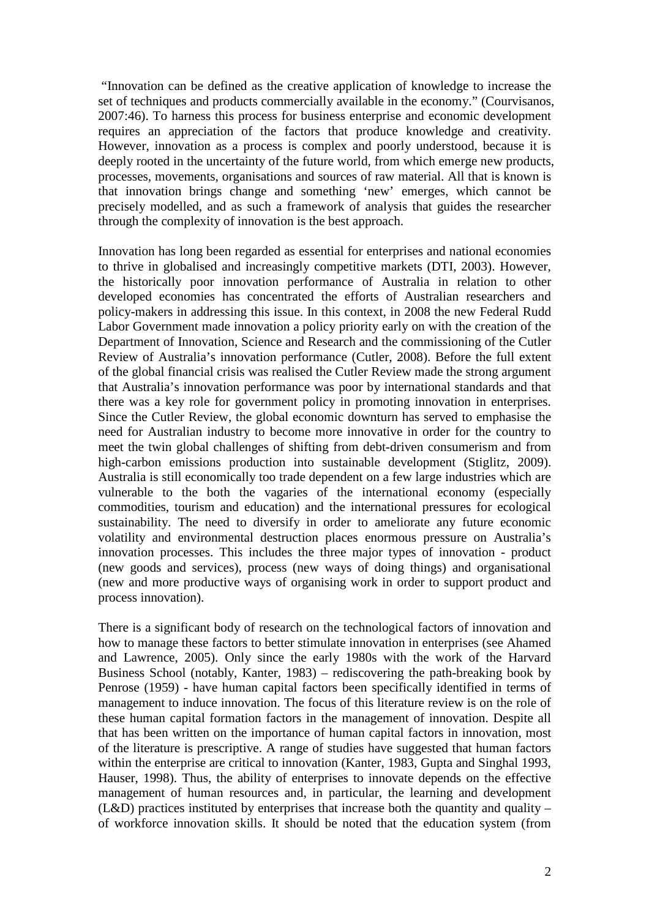"Innovation can be defined as the creative application of knowledge to increase the set of techniques and products commercially available in the economy." (Courvisanos, 2007:46). To harness this process for business enterprise and economic development requires an appreciation of the factors that produce knowledge and creativity. However, innovation as a process is complex and poorly understood, because it is deeply rooted in the uncertainty of the future world, from which emerge new products, processes, movements, organisations and sources of raw material. All that is known is that innovation brings change and something 'new' emerges, which cannot be precisely modelled, and as such a framework of analysis that guides the researcher through the complexity of innovation is the best approach.

Innovation has long been regarded as essential for enterprises and national economies to thrive in globalised and increasingly competitive markets (DTI, 2003). However, the historically poor innovation performance of Australia in relation to other developed economies has concentrated the efforts of Australian researchers and policy-makers in addressing this issue. In this context, in 2008 the new Federal Rudd Labor Government made innovation a policy priority early on with the creation of the Department of Innovation, Science and Research and the commissioning of the Cutler Review of Australia's innovation performance (Cutler, 2008). Before the full extent of the global financial crisis was realised the Cutler Review made the strong argument that Australia's innovation performance was poor by international standards and that there was a key role for government policy in promoting innovation in enterprises. Since the Cutler Review, the global economic downturn has served to emphasise the need for Australian industry to become more innovative in order for the country to meet the twin global challenges of shifting from debt-driven consumerism and from high-carbon emissions production into sustainable development (Stiglitz, 2009). Australia is still economically too trade dependent on a few large industries which are vulnerable to the both the vagaries of the international economy (especially commodities, tourism and education) and the international pressures for ecological sustainability. The need to diversify in order to ameliorate any future economic volatility and environmental destruction places enormous pressure on Australia's innovation processes. This includes the three major types of innovation - product (new goods and services), process (new ways of doing things) and organisational (new and more productive ways of organising work in order to support product and process innovation).

There is a significant body of research on the technological factors of innovation and how to manage these factors to better stimulate innovation in enterprises (see Ahamed and Lawrence, 2005). Only since the early 1980s with the work of the Harvard Business School (notably, Kanter, 1983) – rediscovering the path-breaking book by Penrose (1959) - have human capital factors been specifically identified in terms of management to induce innovation. The focus of this literature review is on the role of these human capital formation factors in the management of innovation. Despite all that has been written on the importance of human capital factors in innovation, most of the literature is prescriptive. A range of studies have suggested that human factors within the enterprise are critical to innovation (Kanter, 1983, Gupta and Singhal 1993, Hauser, 1998). Thus, the ability of enterprises to innovate depends on the effective management of human resources and, in particular, the learning and development  $(L&D)$  practices instituted by enterprises that increase both the quantity and quality – of workforce innovation skills. It should be noted that the education system (from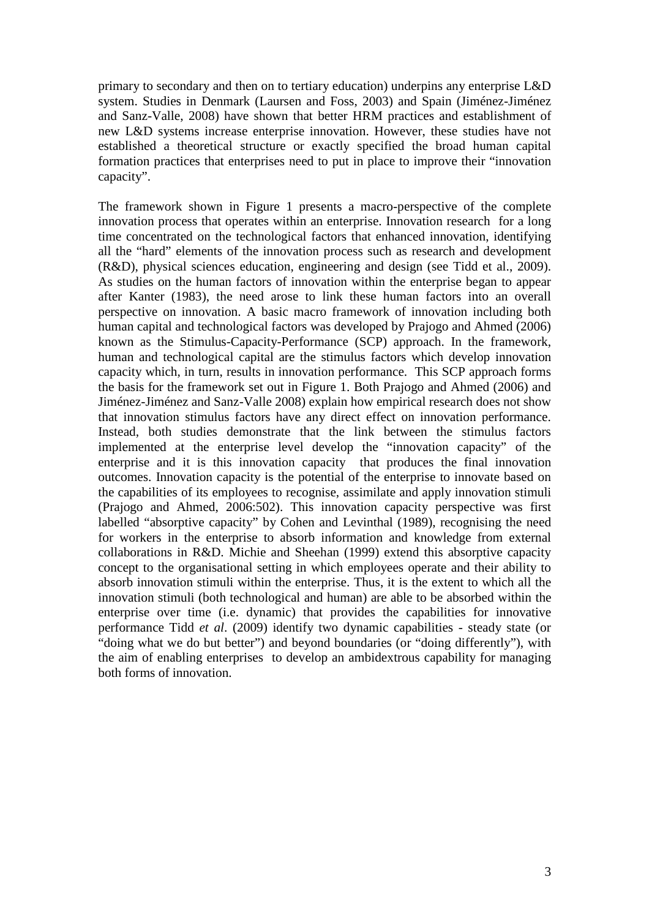primary to secondary and then on to tertiary education) underpins any enterprise L&D system. Studies in Denmark (Laursen and Foss, 2003) and Spain (Jiménez-Jiménez and Sanz-Valle, 2008) have shown that better HRM practices and establishment of new L&D systems increase enterprise innovation. However, these studies have not established a theoretical structure or exactly specified the broad human capital formation practices that enterprises need to put in place to improve their "innovation capacity".

The framework shown in Figure 1 presents a macro-perspective of the complete innovation process that operates within an enterprise. Innovation research for a long time concentrated on the technological factors that enhanced innovation, identifying all the "hard" elements of the innovation process such as research and development (R&D), physical sciences education, engineering and design (see Tidd et al., 2009). As studies on the human factors of innovation within the enterprise began to appear after Kanter (1983), the need arose to link these human factors into an overall perspective on innovation. A basic macro framework of innovation including both human capital and technological factors was developed by Prajogo and Ahmed (2006) known as the Stimulus-Capacity-Performance (SCP) approach. In the framework, human and technological capital are the stimulus factors which develop innovation capacity which, in turn, results in innovation performance. This SCP approach forms the basis for the framework set out in Figure 1. Both Prajogo and Ahmed (2006) and Jiménez-Jiménez and Sanz-Valle 2008) explain how empirical research does not show that innovation stimulus factors have any direct effect on innovation performance. Instead, both studies demonstrate that the link between the stimulus factors implemented at the enterprise level develop the "innovation capacity" of the enterprise and it is this innovation capacity that produces the final innovation outcomes. Innovation capacity is the potential of the enterprise to innovate based on the capabilities of its employees to recognise, assimilate and apply innovation stimuli (Prajogo and Ahmed, 2006:502). This innovation capacity perspective was first labelled "absorptive capacity" by Cohen and Levinthal (1989), recognising the need for workers in the enterprise to absorb information and knowledge from external collaborations in R&D. Michie and Sheehan (1999) extend this absorptive capacity concept to the organisational setting in which employees operate and their ability to absorb innovation stimuli within the enterprise. Thus, it is the extent to which all the innovation stimuli (both technological and human) are able to be absorbed within the enterprise over time (i.e. dynamic) that provides the capabilities for innovative performance Tidd *et al*. (2009) identify two dynamic capabilities - steady state (or "doing what we do but better") and beyond boundaries (or "doing differently"), with the aim of enabling enterprises to develop an ambidextrous capability for managing both forms of innovation.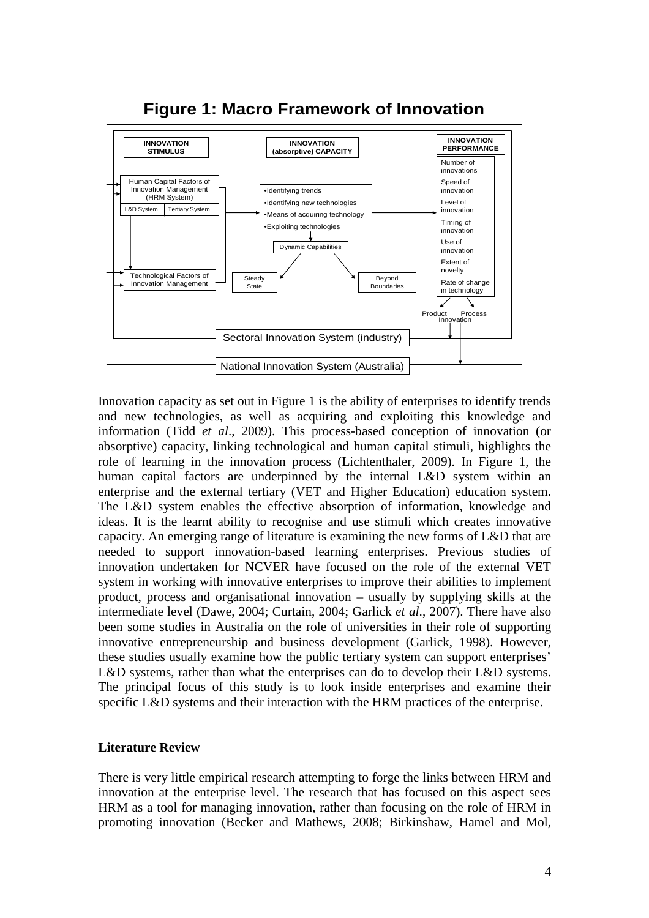

# **Figure 1: Macro Framework of Innovation**

Innovation capacity as set out in Figure 1 is the ability of enterprises to identify trends and new technologies, as well as acquiring and exploiting this knowledge and information (Tidd *et al*., 2009). This process-based conception of innovation (or absorptive) capacity, linking technological and human capital stimuli, highlights the role of learning in the innovation process (Lichtenthaler, 2009). In Figure 1, the human capital factors are underpinned by the internal L&D system within an enterprise and the external tertiary (VET and Higher Education) education system. The L&D system enables the effective absorption of information, knowledge and ideas. It is the learnt ability to recognise and use stimuli which creates innovative capacity. An emerging range of literature is examining the new forms of L&D that are needed to support innovation-based learning enterprises. Previous studies of innovation undertaken for NCVER have focused on the role of the external VET system in working with innovative enterprises to improve their abilities to implement product, process and organisational innovation – usually by supplying skills at the intermediate level (Dawe, 2004; Curtain, 2004; Garlick *et al*., 2007). There have also been some studies in Australia on the role of universities in their role of supporting innovative entrepreneurship and business development (Garlick, 1998). However, these studies usually examine how the public tertiary system can support enterprises' L&D systems, rather than what the enterprises can do to develop their L&D systems. The principal focus of this study is to look inside enterprises and examine their specific L&D systems and their interaction with the HRM practices of the enterprise.

# **Literature Review**

There is very little empirical research attempting to forge the links between HRM and innovation at the enterprise level. The research that has focused on this aspect sees HRM as a tool for managing innovation, rather than focusing on the role of HRM in promoting innovation (Becker and Mathews, 2008; Birkinshaw, Hamel and Mol,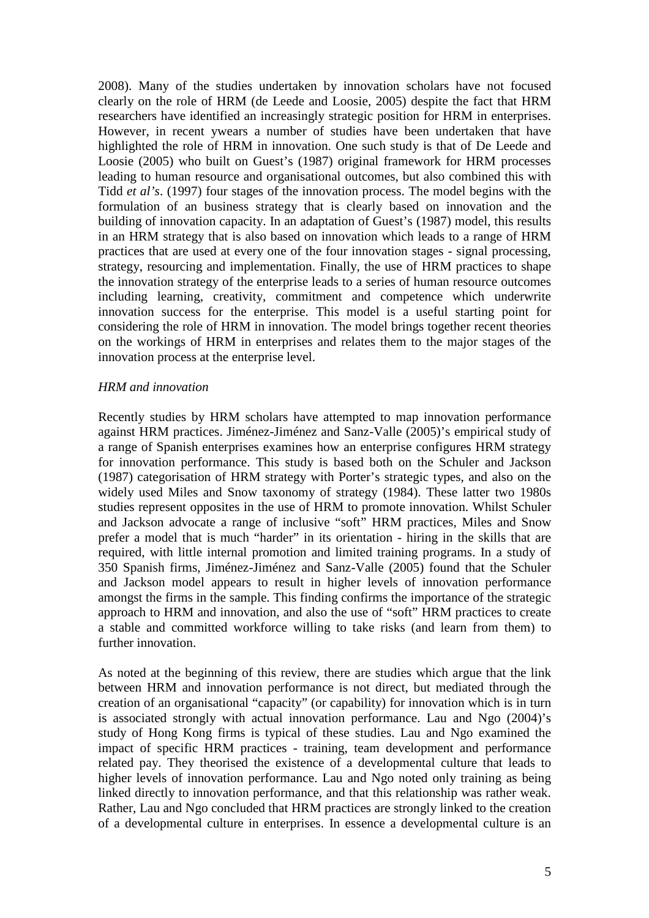2008). Many of the studies undertaken by innovation scholars have not focused clearly on the role of HRM (de Leede and Loosie, 2005) despite the fact that HRM researchers have identified an increasingly strategic position for HRM in enterprises. However, in recent ywears a number of studies have been undertaken that have highlighted the role of HRM in innovation. One such study is that of De Leede and Loosie (2005) who built on Guest's (1987) original framework for HRM processes leading to human resource and organisational outcomes, but also combined this with Tidd *et al's*. (1997) four stages of the innovation process. The model begins with the formulation of an business strategy that is clearly based on innovation and the building of innovation capacity. In an adaptation of Guest's (1987) model, this results in an HRM strategy that is also based on innovation which leads to a range of HRM practices that are used at every one of the four innovation stages - signal processing, strategy, resourcing and implementation. Finally, the use of HRM practices to shape the innovation strategy of the enterprise leads to a series of human resource outcomes including learning, creativity, commitment and competence which underwrite innovation success for the enterprise. This model is a useful starting point for considering the role of HRM in innovation. The model brings together recent theories on the workings of HRM in enterprises and relates them to the major stages of the innovation process at the enterprise level.

#### *HRM and innovation*

Recently studies by HRM scholars have attempted to map innovation performance against HRM practices. Jiménez-Jiménez and Sanz-Valle (2005)'s empirical study of a range of Spanish enterprises examines how an enterprise configures HRM strategy for innovation performance. This study is based both on the Schuler and Jackson (1987) categorisation of HRM strategy with Porter's strategic types, and also on the widely used Miles and Snow taxonomy of strategy (1984). These latter two 1980s studies represent opposites in the use of HRM to promote innovation. Whilst Schuler and Jackson advocate a range of inclusive "soft" HRM practices, Miles and Snow prefer a model that is much "harder" in its orientation - hiring in the skills that are required, with little internal promotion and limited training programs. In a study of 350 Spanish firms, Jiménez-Jiménez and Sanz-Valle (2005) found that the Schuler and Jackson model appears to result in higher levels of innovation performance amongst the firms in the sample. This finding confirms the importance of the strategic approach to HRM and innovation, and also the use of "soft" HRM practices to create a stable and committed workforce willing to take risks (and learn from them) to further innovation.

As noted at the beginning of this review, there are studies which argue that the link between HRM and innovation performance is not direct, but mediated through the creation of an organisational "capacity" (or capability) for innovation which is in turn is associated strongly with actual innovation performance. Lau and Ngo (2004)'s study of Hong Kong firms is typical of these studies. Lau and Ngo examined the impact of specific HRM practices - training, team development and performance related pay. They theorised the existence of a developmental culture that leads to higher levels of innovation performance. Lau and Ngo noted only training as being linked directly to innovation performance, and that this relationship was rather weak. Rather, Lau and Ngo concluded that HRM practices are strongly linked to the creation of a developmental culture in enterprises. In essence a developmental culture is an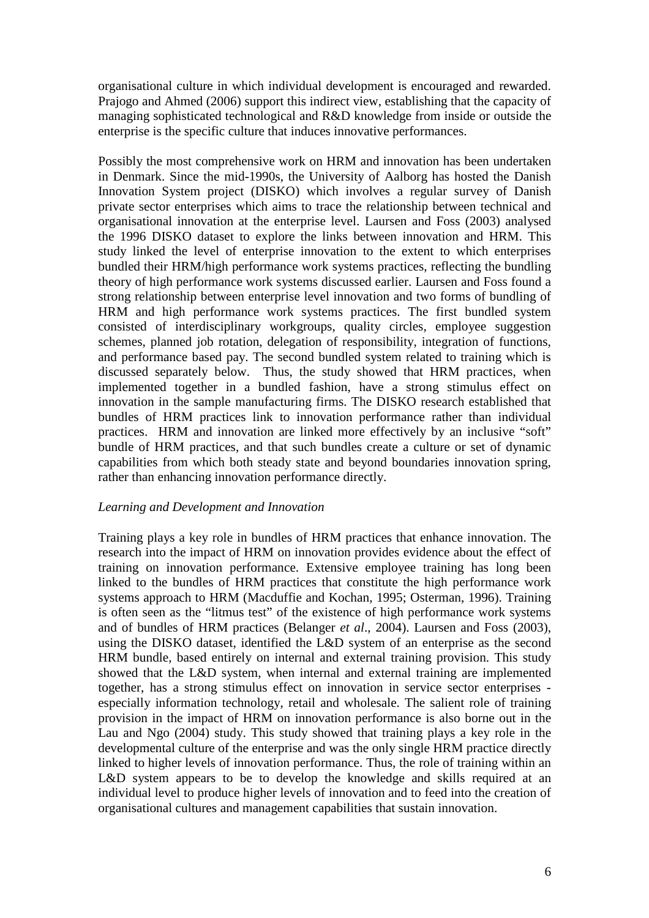organisational culture in which individual development is encouraged and rewarded. Prajogo and Ahmed (2006) support this indirect view, establishing that the capacity of managing sophisticated technological and R&D knowledge from inside or outside the enterprise is the specific culture that induces innovative performances.

Possibly the most comprehensive work on HRM and innovation has been undertaken in Denmark. Since the mid-1990s, the University of Aalborg has hosted the Danish Innovation System project (DISKO) which involves a regular survey of Danish private sector enterprises which aims to trace the relationship between technical and organisational innovation at the enterprise level. Laursen and Foss (2003) analysed the 1996 DISKO dataset to explore the links between innovation and HRM. This study linked the level of enterprise innovation to the extent to which enterprises bundled their HRM/high performance work systems practices, reflecting the bundling theory of high performance work systems discussed earlier. Laursen and Foss found a strong relationship between enterprise level innovation and two forms of bundling of HRM and high performance work systems practices. The first bundled system consisted of interdisciplinary workgroups, quality circles, employee suggestion schemes, planned job rotation, delegation of responsibility, integration of functions, and performance based pay. The second bundled system related to training which is discussed separately below. Thus, the study showed that HRM practices, when implemented together in a bundled fashion, have a strong stimulus effect on innovation in the sample manufacturing firms. The DISKO research established that bundles of HRM practices link to innovation performance rather than individual practices. HRM and innovation are linked more effectively by an inclusive "soft" bundle of HRM practices, and that such bundles create a culture or set of dynamic capabilities from which both steady state and beyond boundaries innovation spring, rather than enhancing innovation performance directly.

# *Learning and Development and Innovation*

Training plays a key role in bundles of HRM practices that enhance innovation. The research into the impact of HRM on innovation provides evidence about the effect of training on innovation performance. Extensive employee training has long been linked to the bundles of HRM practices that constitute the high performance work systems approach to HRM (Macduffie and Kochan, 1995; Osterman, 1996). Training is often seen as the "litmus test" of the existence of high performance work systems and of bundles of HRM practices (Belanger *et al*., 2004). Laursen and Foss (2003), using the DISKO dataset, identified the L&D system of an enterprise as the second HRM bundle, based entirely on internal and external training provision. This study showed that the L&D system, when internal and external training are implemented together, has a strong stimulus effect on innovation in service sector enterprises especially information technology, retail and wholesale. The salient role of training provision in the impact of HRM on innovation performance is also borne out in the Lau and Ngo (2004) study. This study showed that training plays a key role in the developmental culture of the enterprise and was the only single HRM practice directly linked to higher levels of innovation performance. Thus, the role of training within an L&D system appears to be to develop the knowledge and skills required at an individual level to produce higher levels of innovation and to feed into the creation of organisational cultures and management capabilities that sustain innovation.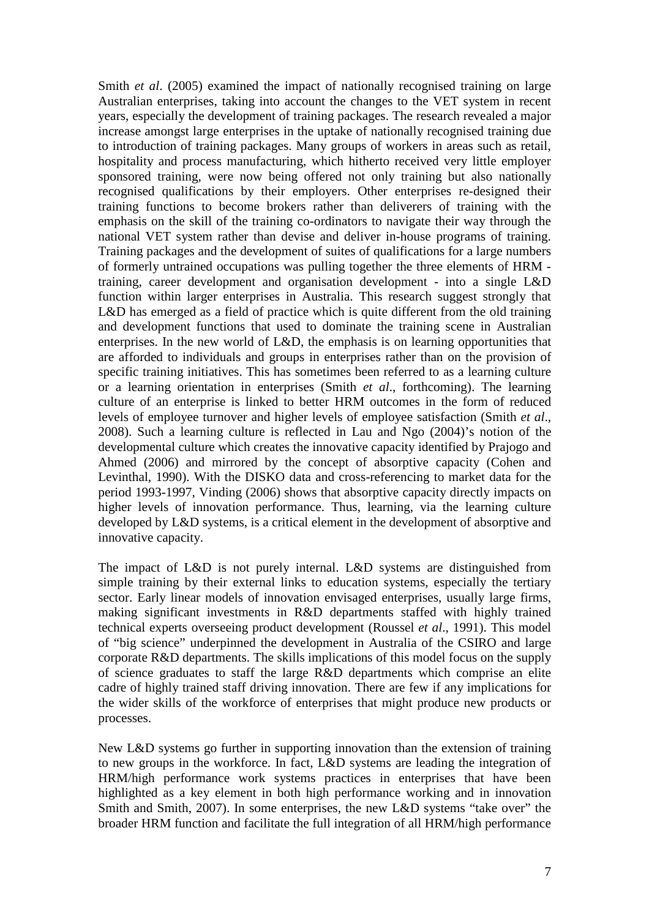Smith *et al.* (2005) examined the impact of nationally recognised training on large Australian enterprises, taking into account the changes to the VET system in recent years, especially the development of training packages. The research revealed a major increase amongst large enterprises in the uptake of nationally recognised training due to introduction of training packages. Many groups of workers in areas such as retail, hospitality and process manufacturing, which hitherto received very little employer sponsored training, were now being offered not only training but also nationally recognised qualifications by their employers. Other enterprises re-designed their training functions to become brokers rather than deliverers of training with the emphasis on the skill of the training co-ordinators to navigate their way through the national VET system rather than devise and deliver in-house programs of training. Training packages and the development of suites of qualifications for a large numbers of formerly untrained occupations was pulling together the three elements of HRM training, career development and organisation development - into a single L&D function within larger enterprises in Australia. This research suggest strongly that L&D has emerged as a field of practice which is quite different from the old training and development functions that used to dominate the training scene in Australian enterprises. In the new world of L&D, the emphasis is on learning opportunities that are afforded to individuals and groups in enterprises rather than on the provision of specific training initiatives. This has sometimes been referred to as a learning culture or a learning orientation in enterprises (Smith *et al*., forthcoming). The learning culture of an enterprise is linked to better HRM outcomes in the form of reduced levels of employee turnover and higher levels of employee satisfaction (Smith *et al*., 2008). Such a learning culture is reflected in Lau and Ngo (2004)'s notion of the developmental culture which creates the innovative capacity identified by Prajogo and Ahmed (2006) and mirrored by the concept of absorptive capacity (Cohen and Levinthal, 1990). With the DISKO data and cross-referencing to market data for the period 1993-1997, Vinding (2006) shows that absorptive capacity directly impacts on higher levels of innovation performance. Thus, learning, via the learning culture developed by L&D systems, is a critical element in the development of absorptive and innovative capacity.

The impact of L&D is not purely internal. L&D systems are distinguished from simple training by their external links to education systems, especially the tertiary sector. Early linear models of innovation envisaged enterprises, usually large firms, making significant investments in R&D departments staffed with highly trained technical experts overseeing product development (Roussel *et al*., 1991). This model of "big science" underpinned the development in Australia of the CSIRO and large corporate R&D departments. The skills implications of this model focus on the supply of science graduates to staff the large R&D departments which comprise an elite cadre of highly trained staff driving innovation. There are few if any implications for the wider skills of the workforce of enterprises that might produce new products or processes.

New L&D systems go further in supporting innovation than the extension of training to new groups in the workforce. In fact, L&D systems are leading the integration of HRM/high performance work systems practices in enterprises that have been highlighted as a key element in both high performance working and in innovation Smith and Smith, 2007). In some enterprises, the new L&D systems "take over" the broader HRM function and facilitate the full integration of all HRM/high performance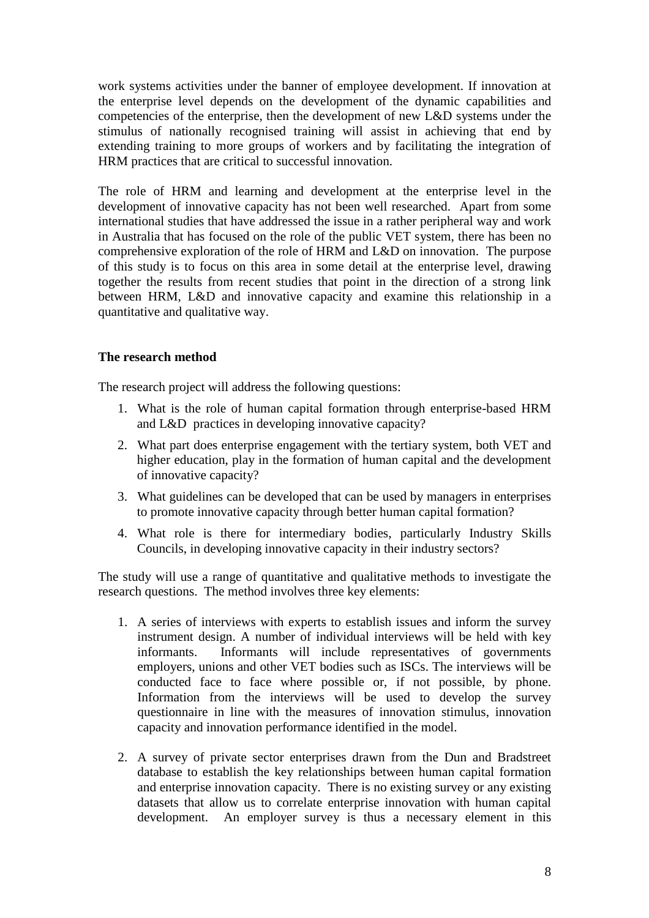work systems activities under the banner of employee development. If innovation at the enterprise level depends on the development of the dynamic capabilities and competencies of the enterprise, then the development of new L&D systems under the stimulus of nationally recognised training will assist in achieving that end by extending training to more groups of workers and by facilitating the integration of HRM practices that are critical to successful innovation.

The role of HRM and learning and development at the enterprise level in the development of innovative capacity has not been well researched. Apart from some international studies that have addressed the issue in a rather peripheral way and work in Australia that has focused on the role of the public VET system, there has been no comprehensive exploration of the role of HRM and L&D on innovation. The purpose of this study is to focus on this area in some detail at the enterprise level, drawing together the results from recent studies that point in the direction of a strong link between HRM, L&D and innovative capacity and examine this relationship in a quantitative and qualitative way.

# **The research method**

The research project will address the following questions:

- 1. What is the role of human capital formation through enterprise-based HRM and L&D practices in developing innovative capacity?
- 2. What part does enterprise engagement with the tertiary system, both VET and higher education, play in the formation of human capital and the development of innovative capacity?
- 3. What guidelines can be developed that can be used by managers in enterprises to promote innovative capacity through better human capital formation?
- 4. What role is there for intermediary bodies, particularly Industry Skills Councils, in developing innovative capacity in their industry sectors?

The study will use a range of quantitative and qualitative methods to investigate the research questions. The method involves three key elements:

- 1. A series of interviews with experts to establish issues and inform the survey instrument design. A number of individual interviews will be held with key informants. Informants will include representatives of governments employers, unions and other VET bodies such as ISCs. The interviews will be conducted face to face where possible or, if not possible, by phone. Information from the interviews will be used to develop the survey questionnaire in line with the measures of innovation stimulus, innovation capacity and innovation performance identified in the model.
- 2. A survey of private sector enterprises drawn from the Dun and Bradstreet database to establish the key relationships between human capital formation and enterprise innovation capacity. There is no existing survey or any existing datasets that allow us to correlate enterprise innovation with human capital development. An employer survey is thus a necessary element in this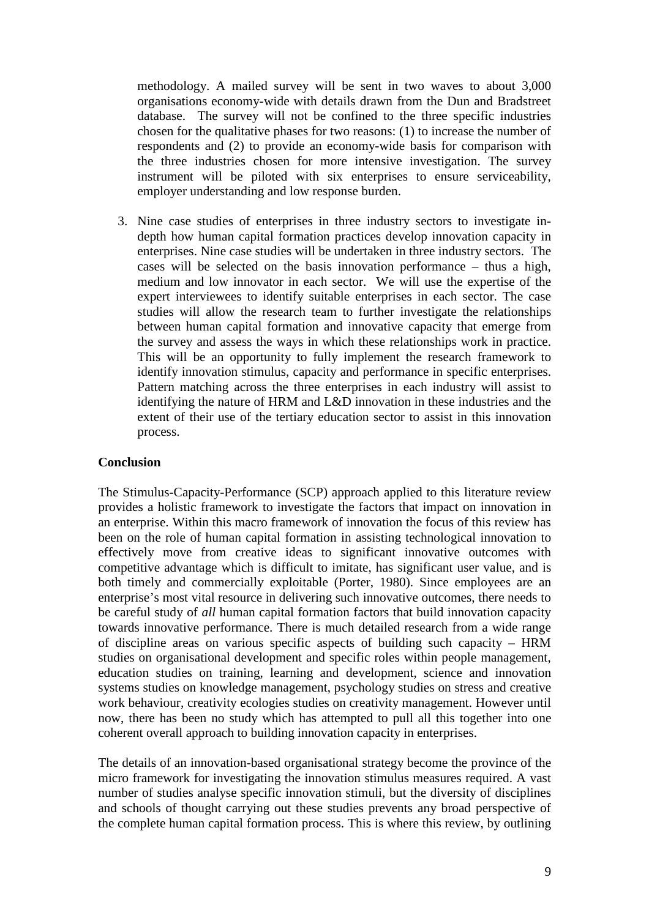methodology. A mailed survey will be sent in two waves to about 3,000 organisations economy-wide with details drawn from the Dun and Bradstreet database. The survey will not be confined to the three specific industries chosen for the qualitative phases for two reasons: (1) to increase the number of respondents and (2) to provide an economy-wide basis for comparison with the three industries chosen for more intensive investigation. The survey instrument will be piloted with six enterprises to ensure serviceability, employer understanding and low response burden.

3. Nine case studies of enterprises in three industry sectors to investigate indepth how human capital formation practices develop innovation capacity in enterprises. Nine case studies will be undertaken in three industry sectors. The cases will be selected on the basis innovation performance – thus a high, medium and low innovator in each sector. We will use the expertise of the expert interviewees to identify suitable enterprises in each sector. The case studies will allow the research team to further investigate the relationships between human capital formation and innovative capacity that emerge from the survey and assess the ways in which these relationships work in practice. This will be an opportunity to fully implement the research framework to identify innovation stimulus, capacity and performance in specific enterprises. Pattern matching across the three enterprises in each industry will assist to identifying the nature of HRM and L&D innovation in these industries and the extent of their use of the tertiary education sector to assist in this innovation process.

# **Conclusion**

The Stimulus-Capacity-Performance (SCP) approach applied to this literature review provides a holistic framework to investigate the factors that impact on innovation in an enterprise. Within this macro framework of innovation the focus of this review has been on the role of human capital formation in assisting technological innovation to effectively move from creative ideas to significant innovative outcomes with competitive advantage which is difficult to imitate, has significant user value, and is both timely and commercially exploitable (Porter, 1980). Since employees are an enterprise's most vital resource in delivering such innovative outcomes, there needs to be careful study of *all* human capital formation factors that build innovation capacity towards innovative performance. There is much detailed research from a wide range of discipline areas on various specific aspects of building such capacity – HRM studies on organisational development and specific roles within people management, education studies on training, learning and development, science and innovation systems studies on knowledge management, psychology studies on stress and creative work behaviour, creativity ecologies studies on creativity management. However until now, there has been no study which has attempted to pull all this together into one coherent overall approach to building innovation capacity in enterprises.

The details of an innovation-based organisational strategy become the province of the micro framework for investigating the innovation stimulus measures required. A vast number of studies analyse specific innovation stimuli, but the diversity of disciplines and schools of thought carrying out these studies prevents any broad perspective of the complete human capital formation process. This is where this review, by outlining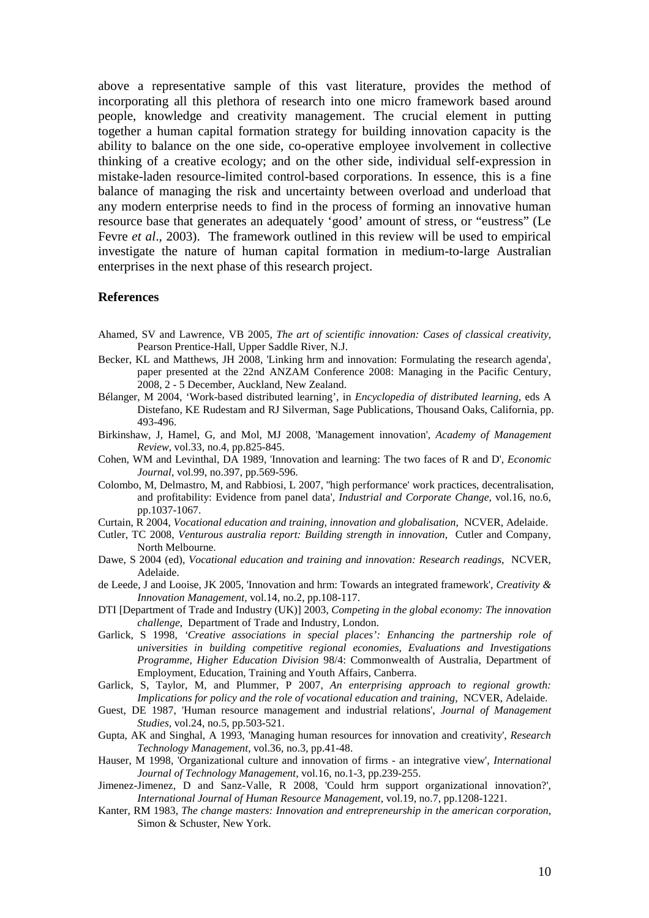above a representative sample of this vast literature, provides the method of incorporating all this plethora of research into one micro framework based around people, knowledge and creativity management. The crucial element in putting together a human capital formation strategy for building innovation capacity is the ability to balance on the one side, co-operative employee involvement in collective thinking of a creative ecology; and on the other side, individual self-expression in mistake-laden resource-limited control-based corporations. In essence, this is a fine balance of managing the risk and uncertainty between overload and underload that any modern enterprise needs to find in the process of forming an innovative human resource base that generates an adequately 'good' amount of stress, or "eustress" (Le Fevre *et al.*, 2003). The framework outlined in this review will be used to empirical investigate the nature of human capital formation in medium-to-large Australian enterprises in the next phase of this research project.

#### **References**

- Ahamed, SV and Lawrence, VB 2005, *The art of scientific innovation: Cases of classical creativity*, Pearson Prentice-Hall, Upper Saddle River, N.J.
- Becker, KL and Matthews, JH 2008, 'Linking hrm and innovation: Formulating the research agenda', paper presented at the 22nd ANZAM Conference 2008: Managing in the Pacific Century, 2008, 2 - 5 December, Auckland, New Zealand.
- Bélanger, M 2004, 'Work-based distributed learning', in *Encyclopedia of distributed learning,* eds A Distefano, KE Rudestam and RJ Silverman, Sage Publications, Thousand Oaks, California, pp. 493-496.
- Birkinshaw, J, Hamel, G, and Mol, MJ 2008, 'Management innovation', *Academy of Management Review,* vol.33, no.4, pp.825-845.
- Cohen, WM and Levinthal, DA 1989, 'Innovation and learning: The two faces of R and D', *Economic Journal,* vol.99, no.397, pp.569-596.
- Colombo, M, Delmastro, M, and Rabbiosi, L 2007, ''high performance' work practices, decentralisation, and profitability: Evidence from panel data', *Industrial and Corporate Change,* vol.16, no.6, pp.1037-1067.
- Curtain, R 2004, *Vocational education and training, innovation and globalisation*, NCVER, Adelaide.
- Cutler, TC 2008, *Venturous australia report: Building strength in innovation*, Cutler and Company, North Melbourne.
- Dawe, S 2004 (ed), *Vocational education and training and innovation: Research readings*, NCVER, Adelaide.
- de Leede, J and Looise, JK 2005, 'Innovation and hrm: Towards an integrated framework', *Creativity & Innovation Management,* vol.14, no.2, pp.108-117.
- DTI [Department of Trade and Industry (UK)] 2003, *Competing in the global economy: The innovation challenge*, Department of Trade and Industry, London.
- Garlick, S 1998, *'Creative associations in special places': Enhancing the partnership role of universities in building competitive regional economies, Evaluations and Investigations Programme, Higher Education Division* 98/4: Commonwealth of Australia, Department of Employment, Education, Training and Youth Affairs, Canberra.
- Garlick, S, Taylor, M, and Plummer, P 2007, *An enterprising approach to regional growth: Implications for policy and the role of vocational education and training*, NCVER, Adelaide.
- Guest, DE 1987, 'Human resource management and industrial relations', *Journal of Management Studies,* vol.24, no.5, pp.503-521.
- Gupta, AK and Singhal, A 1993, 'Managing human resources for innovation and creativity', *Research Technology Management,* vol.36, no.3, pp.41-48.
- Hauser, M 1998, 'Organizational culture and innovation of firms an integrative view', *International Journal of Technology Management,* vol.16, no.1-3, pp.239-255.
- Jimenez-Jimenez, D and Sanz-Valle, R 2008, 'Could hrm support organizational innovation?', *International Journal of Human Resource Management,* vol.19, no.7, pp.1208-1221.
- Kanter, RM 1983, *The change masters: Innovation and entrepreneurship in the american corporation*, Simon & Schuster, New York.